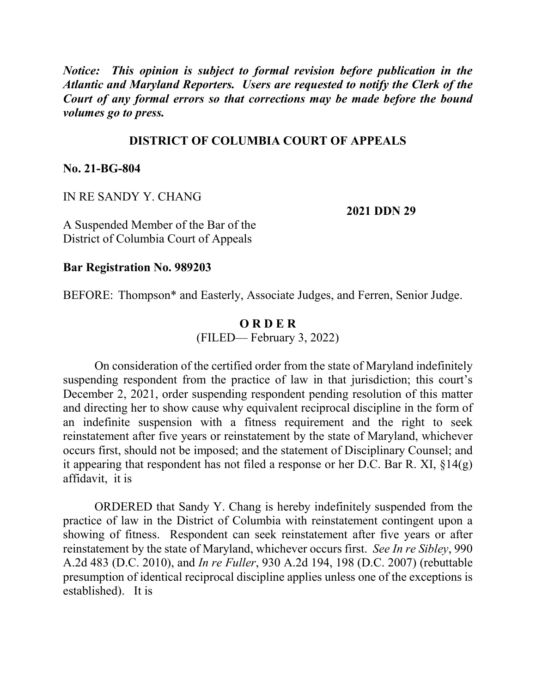*Notice: This opinion is subject to formal revision before publication in the Atlantic and Maryland Reporters. Users are requested to notify the Clerk of the Court of any formal errors so that corrections may be made before the bound volumes go to press.*

# **DISTRICT OF COLUMBIA COURT OF APPEALS**

**No. 21-BG-804**

IN RE SANDY Y. CHANG

**2021 DDN 29**

A Suspended Member of the Bar of the District of Columbia Court of Appeals

### **Bar Registration No. 989203**

BEFORE: Thompson\* and Easterly, Associate Judges, and Ferren, Senior Judge.

## **O R D E R**

(FILED— February 3, 2022)

On consideration of the certified order from the state of Maryland indefinitely suspending respondent from the practice of law in that jurisdiction; this court's December 2, 2021, order suspending respondent pending resolution of this matter and directing her to show cause why equivalent reciprocal discipline in the form of an indefinite suspension with a fitness requirement and the right to seek reinstatement after five years or reinstatement by the state of Maryland, whichever occurs first, should not be imposed; and the statement of Disciplinary Counsel; and it appearing that respondent has not filed a response or her D.C. Bar R. XI,  $\S14(g)$ affidavit, it is

ORDERED that Sandy Y. Chang is hereby indefinitely suspended from the practice of law in the District of Columbia with reinstatement contingent upon a showing of fitness. Respondent can seek reinstatement after five years or after reinstatement by the state of Maryland, whichever occurs first. *See In re Sibley*, 990 A.2d 483 (D.C. 2010), and *In re Fuller*, 930 A.2d 194, 198 (D.C. 2007) (rebuttable presumption of identical reciprocal discipline applies unless one of the exceptions is established). It is